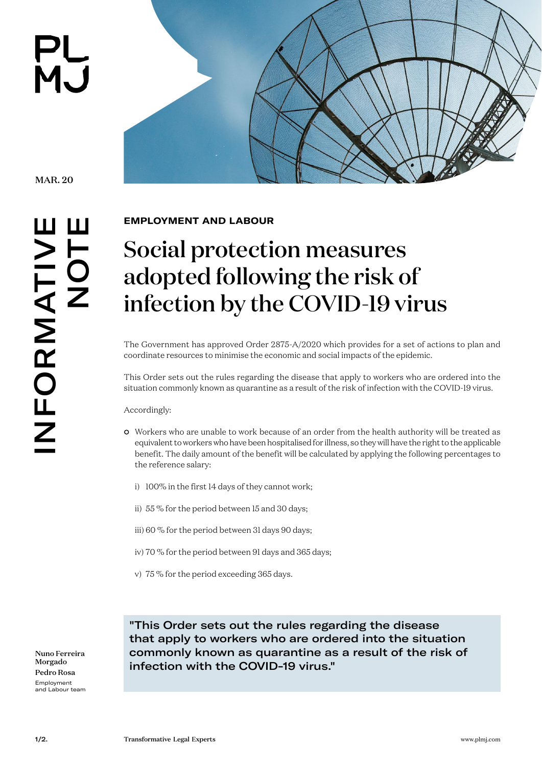



MAR. 20

**EMPLOYMENT AND LABOUR** 

## Social protection measures adopted following the risk of infection by the COVID-19 virus

The Government has approved Order 2875-A/2020 which provides for a set of actions to plan and coordinate resources to minimise the economic and social impacts of the epidemic.

This Order sets out the rules regarding the disease that apply to workers who are ordered into the situation commonly known as quarantine as a result of the risk of infection with the COVID-19 virus.

Accordingly:

- Workers who are unable to work because of an order from the health authority will be treated as equivalent to workers who have been hospitalised for illness, so they will have the right to the applicable benefit. The daily amount of the benefit will be calculated by applying the following percentages to the reference salary:
	- i) 100% in the first 14 days of they cannot work;
	- ii) 55 % for the period between 15 and 30 days;
	- iii) 60 % for the period between 31 days 90 days;
	- iv) 70 % for the period between 91 days and 365 days;
	- v) 75 % for the period exceeding 365 days.

Nuno Ferreira Morgado Pedro Rosa Employment and Labour team

"This Order sets out the rules regarding the disease that apply to workers who are ordered into the situation commonly known as quarantine as a result of the risk of infection with the COVID-19 virus."